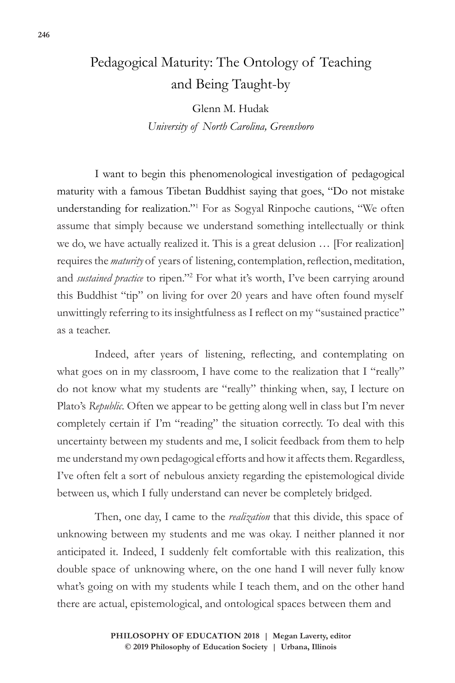# Pedagogical Maturity: The Ontology of Teaching and Being Taught-by

Glenn M. Hudak

*University of North Carolina, Greensboro*

I want to begin this phenomenological investigation of pedagogical maturity with a famous Tibetan Buddhist saying that goes, "Do not mistake understanding for realization."1 For as Sogyal Rinpoche cautions, "We often assume that simply because we understand something intellectually or think we do, we have actually realized it. This is a great delusion … [For realization] requires the *maturity* of years of listening, contemplation, reflection, meditation, and *sustained practice* to ripen."<sup>2</sup> For what it's worth, I've been carrying around this Buddhist "tip" on living for over 20 years and have often found myself unwittingly referring to its insightfulness as I reflect on my "sustained practice" as a teacher.

Indeed, after years of listening, reflecting, and contemplating on what goes on in my classroom, I have come to the realization that I "really" do not know what my students are "really" thinking when, say, I lecture on Plato's *Republic*. Often we appear to be getting along well in class but I'm never completely certain if I'm "reading" the situation correctly. To deal with this uncertainty between my students and me, I solicit feedback from them to help me understand my own pedagogical efforts and how it affects them. Regardless, I've often felt a sort of nebulous anxiety regarding the epistemological divide between us, which I fully understand can never be completely bridged.

Then, one day, I came to the *realization* that this divide, this space of unknowing between my students and me was okay. I neither planned it nor anticipated it. Indeed, I suddenly felt comfortable with this realization, this double space of unknowing where, on the one hand I will never fully know what's going on with my students while I teach them, and on the other hand there are actual, epistemological, and ontological spaces between them and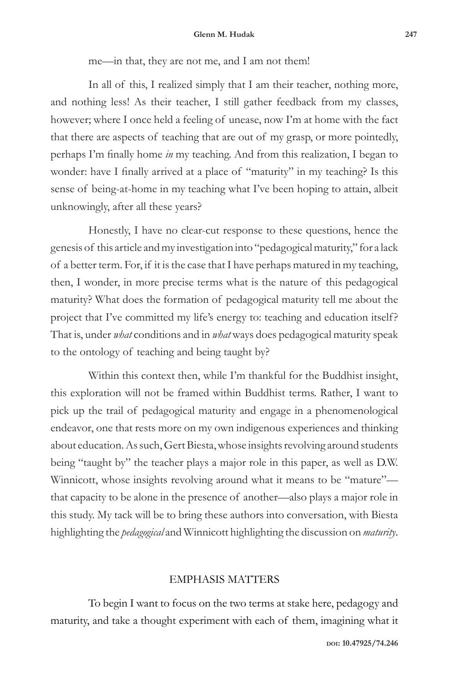me—in that, they are not me, and I am not them!

In all of this, I realized simply that I am their teacher, nothing more, and nothing less! As their teacher, I still gather feedback from my classes, however; where I once held a feeling of unease, now I'm at home with the fact that there are aspects of teaching that are out of my grasp, or more pointedly, perhaps I'm finally home *in* my teaching. And from this realization, I began to wonder: have I finally arrived at a place of "maturity" in my teaching? Is this sense of being-at-home in my teaching what I've been hoping to attain, albeit unknowingly, after all these years?

Honestly, I have no clear-cut response to these questions, hence the genesis of this article and my investigation into "pedagogical maturity," for a lack of a better term. For, if it is the case that I have perhaps matured in my teaching, then, I wonder, in more precise terms what is the nature of this pedagogical maturity? What does the formation of pedagogical maturity tell me about the project that I've committed my life's energy to: teaching and education itself? That is, under *what* conditions and in *what* ways does pedagogical maturity speak to the ontology of teaching and being taught by?

Within this context then, while I'm thankful for the Buddhist insight, this exploration will not be framed within Buddhist terms. Rather, I want to pick up the trail of pedagogical maturity and engage in a phenomenological endeavor, one that rests more on my own indigenous experiences and thinking about education. As such, Gert Biesta, whose insights revolving around students being "taught by" the teacher plays a major role in this paper, as well as D.W. Winnicott, whose insights revolving around what it means to be "mature" that capacity to be alone in the presence of another—also plays a major role in this study. My tack will be to bring these authors into conversation, with Biesta highlighting the *pedagogical* and Winnicott highlighting the discussion on *maturity*.

# EMPHASIS MATTERS

To begin I want to focus on the two terms at stake here, pedagogy and maturity, and take a thought experiment with each of them, imagining what it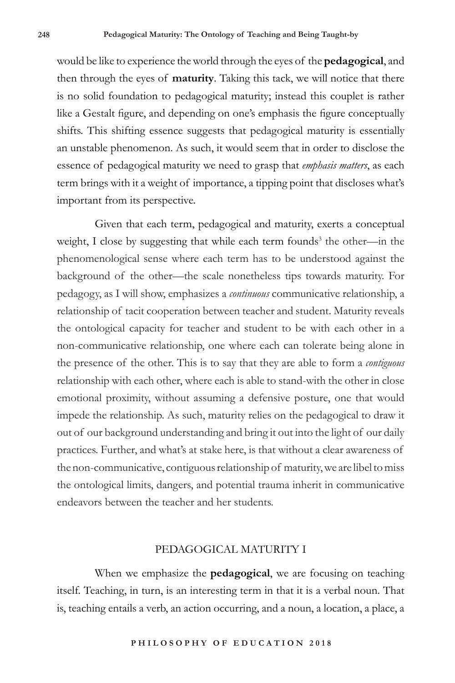would be like to experience the world through the eyes of the **pedagogical**, and then through the eyes of **maturity**. Taking this tack, we will notice that there is no solid foundation to pedagogical maturity; instead this couplet is rather like a Gestalt figure, and depending on one's emphasis the figure conceptually shifts. This shifting essence suggests that pedagogical maturity is essentially an unstable phenomenon. As such, it would seem that in order to disclose the essence of pedagogical maturity we need to grasp that *emphasis matters*, as each term brings with it a weight of importance, a tipping point that discloses what's important from its perspective.

Given that each term, pedagogical and maturity, exerts a conceptual weight, I close by suggesting that while each term founds<sup>3</sup> the other—in the phenomenological sense where each term has to be understood against the background of the other—the scale nonetheless tips towards maturity. For pedagogy, as I will show, emphasizes a *continuous* communicative relationship, a relationship of tacit cooperation between teacher and student. Maturity reveals the ontological capacity for teacher and student to be with each other in a non-communicative relationship, one where each can tolerate being alone in the presence of the other. This is to say that they are able to form a *contiguous* relationship with each other, where each is able to stand-with the other in close emotional proximity, without assuming a defensive posture, one that would impede the relationship. As such, maturity relies on the pedagogical to draw it out of our background understanding and bring it out into the light of our daily practices. Further, and what's at stake here, is that without a clear awareness of the non-communicative, contiguous relationship of maturity, we are libel to miss the ontological limits, dangers, and potential trauma inherit in communicative endeavors between the teacher and her students.

## PEDAGOGICAL MATURITY I

When we emphasize the **pedagogical**, we are focusing on teaching itself. Teaching, in turn, is an interesting term in that it is a verbal noun. That is, teaching entails a verb, an action occurring, and a noun, a location, a place, a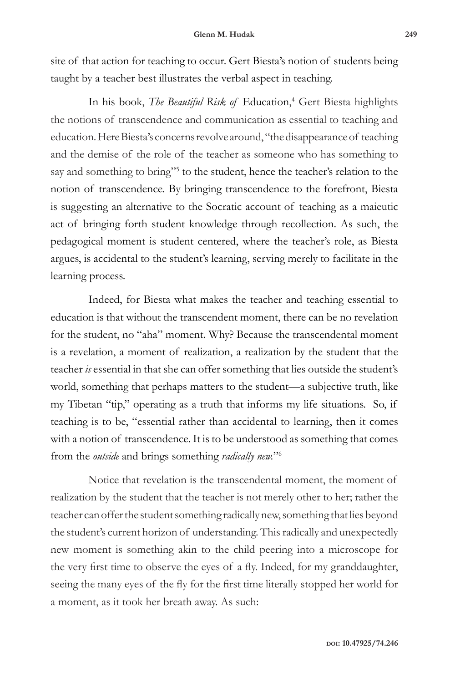site of that action for teaching to occur. Gert Biesta's notion of students being taught by a teacher best illustrates the verbal aspect in teaching.

In his book, *The Beautiful Risk of Education*,<sup>4</sup> Gert Biesta highlights the notions of transcendence and communication as essential to teaching and education. Here Biesta's concerns revolve around, "the disappearance of teaching and the demise of the role of the teacher as someone who has something to say and something to bring"<sup>5</sup> to the student, hence the teacher's relation to the notion of transcendence. By bringing transcendence to the forefront, Biesta is suggesting an alternative to the Socratic account of teaching as a maieutic act of bringing forth student knowledge through recollection. As such, the pedagogical moment is student centered, where the teacher's role, as Biesta argues, is accidental to the student's learning, serving merely to facilitate in the learning process.

Indeed, for Biesta what makes the teacher and teaching essential to education is that without the transcendent moment, there can be no revelation for the student, no "aha" moment. Why? Because the transcendental moment is a revelation, a moment of realization, a realization by the student that the teacher *is* essential in that she can offer something that lies outside the student's world, something that perhaps matters to the student—a subjective truth, like my Tibetan "tip," operating as a truth that informs my life situations. So, if teaching is to be, "essential rather than accidental to learning, then it comes with a notion of transcendence. It is to be understood as something that comes from the *outside* and brings something *radically new.*"6

Notice that revelation is the transcendental moment, the moment of realization by the student that the teacher is not merely other to her; rather the teacher can offer the student something radically new, something that lies beyond the student's current horizon of understanding. This radically and unexpectedly new moment is something akin to the child peering into a microscope for the very first time to observe the eyes of a fly. Indeed, for my granddaughter, seeing the many eyes of the fly for the first time literally stopped her world for a moment, as it took her breath away. As such: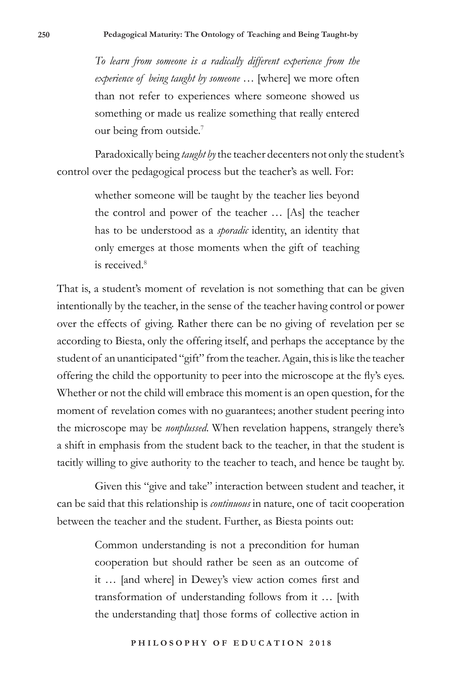*To learn from someone is a radically different experience from the experience of being taught by someone* … [where] we more often than not refer to experiences where someone showed us something or made us realize something that really entered our being from outside.<sup>7</sup>

Paradoxically being *taught by* the teacher decenters not only the student's control over the pedagogical process but the teacher's as well. For:

> whether someone will be taught by the teacher lies beyond the control and power of the teacher … [As] the teacher has to be understood as a *sporadic* identity, an identity that only emerges at those moments when the gift of teaching is received.<sup>8</sup>

That is, a student's moment of revelation is not something that can be given intentionally by the teacher, in the sense of the teacher having control or power over the effects of giving. Rather there can be no giving of revelation per se according to Biesta, only the offering itself, and perhaps the acceptance by the student of an unanticipated "gift" from the teacher. Again, this is like the teacher offering the child the opportunity to peer into the microscope at the fly's eyes. Whether or not the child will embrace this moment is an open question, for the moment of revelation comes with no guarantees; another student peering into the microscope may be *nonplussed*. When revelation happens, strangely there's a shift in emphasis from the student back to the teacher, in that the student is tacitly willing to give authority to the teacher to teach, and hence be taught by.

Given this "give and take" interaction between student and teacher, it can be said that this relationship is *continuous* in nature, one of tacit cooperation between the teacher and the student. Further, as Biesta points out:

> Common understanding is not a precondition for human cooperation but should rather be seen as an outcome of it … [and where] in Dewey's view action comes first and transformation of understanding follows from it … [with the understanding that] those forms of collective action in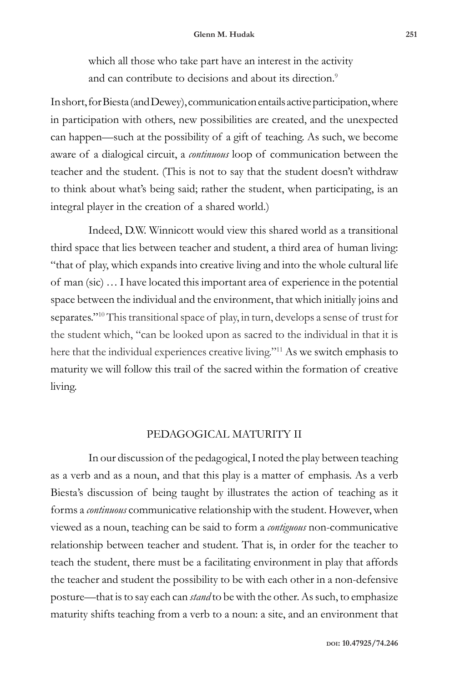which all those who take part have an interest in the activity and can contribute to decisions and about its direction.<sup>9</sup>

In short, for Biesta (and Dewey), communication entails active participation, where in participation with others, new possibilities are created, and the unexpected can happen—such at the possibility of a gift of teaching. As such, we become aware of a dialogical circuit, a *continuous* loop of communication between the teacher and the student. (This is not to say that the student doesn't withdraw to think about what's being said; rather the student, when participating, is an integral player in the creation of a shared world.)

Indeed, D.W. Winnicott would view this shared world as a transitional third space that lies between teacher and student, a third area of human living: "that of play, which expands into creative living and into the whole cultural life of man (sic) … I have located this important area of experience in the potential space between the individual and the environment, that which initially joins and separates."10 This transitional space of play, in turn, develops a sense of trust for the student which, "can be looked upon as sacred to the individual in that it is here that the individual experiences creative living."<sup>11</sup> As we switch emphasis to maturity we will follow this trail of the sacred within the formation of creative living.

### PEDAGOGICAL MATURITY II

In our discussion of the pedagogical, I noted the play between teaching as a verb and as a noun, and that this play is a matter of emphasis. As a verb Biesta's discussion of being taught by illustrates the action of teaching as it forms a *continuous* communicative relationship with the student. However, when viewed as a noun, teaching can be said to form a *contiguous* non-communicative relationship between teacher and student. That is, in order for the teacher to teach the student, there must be a facilitating environment in play that affords the teacher and student the possibility to be with each other in a non-defensive posture—that is to say each can *stand* to be with the other. As such, to emphasize maturity shifts teaching from a verb to a noun: a site, and an environment that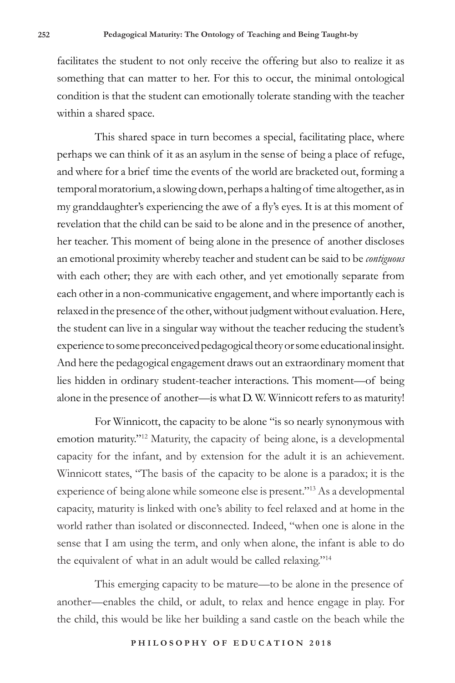facilitates the student to not only receive the offering but also to realize it as something that can matter to her. For this to occur, the minimal ontological condition is that the student can emotionally tolerate standing with the teacher within a shared space.

This shared space in turn becomes a special, facilitating place, where perhaps we can think of it as an asylum in the sense of being a place of refuge, and where for a brief time the events of the world are bracketed out, forming a temporal moratorium, a slowing down, perhaps a halting of time altogether, as in my granddaughter's experiencing the awe of a fly's eyes. It is at this moment of revelation that the child can be said to be alone and in the presence of another, her teacher. This moment of being alone in the presence of another discloses an emotional proximity whereby teacher and student can be said to be *contiguous* with each other; they are with each other, and yet emotionally separate from each other in a non-communicative engagement, and where importantly each is relaxed in the presence of the other, without judgment without evaluation. Here, the student can live in a singular way without the teacher reducing the student's experience to some preconceived pedagogical theory or some educational insight. And here the pedagogical engagement draws out an extraordinary moment that lies hidden in ordinary student-teacher interactions. This moment—of being alone in the presence of another—is what D. W. Winnicott refers to as maturity!

For Winnicott, the capacity to be alone "is so nearly synonymous with emotion maturity."12 Maturity, the capacity of being alone, is a developmental capacity for the infant, and by extension for the adult it is an achievement. Winnicott states, "The basis of the capacity to be alone is a paradox; it is the experience of being alone while someone else is present."13 As a developmental capacity, maturity is linked with one's ability to feel relaxed and at home in the world rather than isolated or disconnected. Indeed, "when one is alone in the sense that I am using the term, and only when alone, the infant is able to do the equivalent of what in an adult would be called relaxing."14

This emerging capacity to be mature—to be alone in the presence of another—enables the child, or adult, to relax and hence engage in play. For the child, this would be like her building a sand castle on the beach while the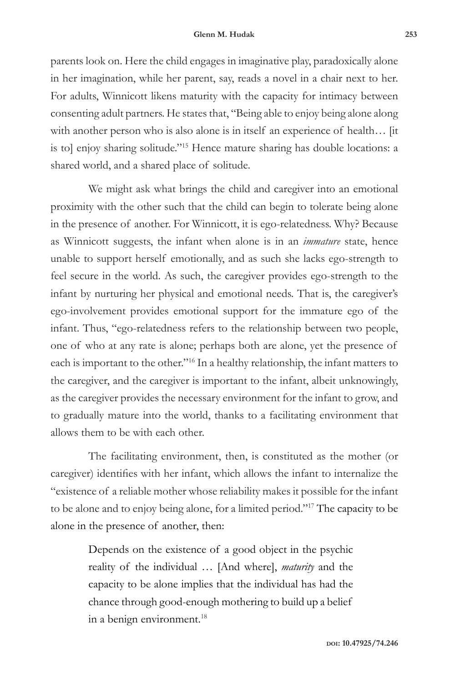parents look on. Here the child engages in imaginative play, paradoxically alone in her imagination, while her parent, say, reads a novel in a chair next to her. For adults, Winnicott likens maturity with the capacity for intimacy between consenting adult partners. He states that, "Being able to enjoy being alone along with another person who is also alone is in itself an experience of health... [it] is to] enjoy sharing solitude."15 Hence mature sharing has double locations: a shared world, and a shared place of solitude.

We might ask what brings the child and caregiver into an emotional proximity with the other such that the child can begin to tolerate being alone in the presence of another. For Winnicott, it is ego-relatedness. Why? Because as Winnicott suggests, the infant when alone is in an *immature* state, hence unable to support herself emotionally, and as such she lacks ego-strength to feel secure in the world. As such, the caregiver provides ego-strength to the infant by nurturing her physical and emotional needs. That is, the caregiver's ego-involvement provides emotional support for the immature ego of the infant. Thus, "ego-relatedness refers to the relationship between two people, one of who at any rate is alone; perhaps both are alone, yet the presence of each is important to the other."16 In a healthy relationship, the infant matters to the caregiver, and the caregiver is important to the infant, albeit unknowingly, as the caregiver provides the necessary environment for the infant to grow, and to gradually mature into the world, thanks to a facilitating environment that allows them to be with each other.

The facilitating environment, then, is constituted as the mother (or caregiver) identifies with her infant, which allows the infant to internalize the "existence of a reliable mother whose reliability makes it possible for the infant to be alone and to enjoy being alone, for a limited period."17 The capacity to be alone in the presence of another, then:

> Depends on the existence of a good object in the psychic reality of the individual … [And where], *maturity* and the capacity to be alone implies that the individual has had the chance through good-enough mothering to build up a belief in a benign environment.<sup>18</sup>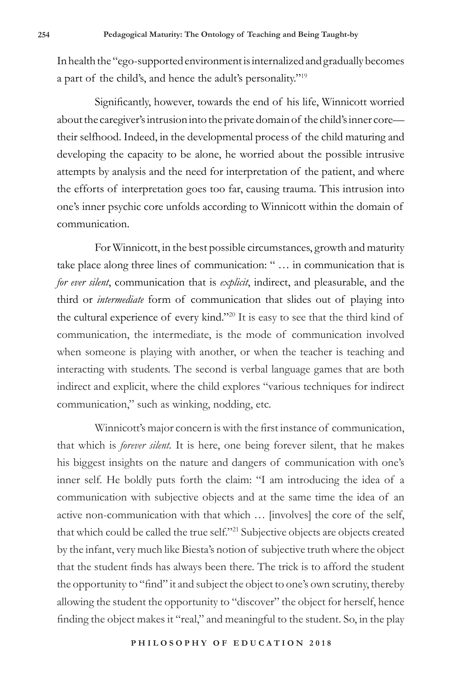In health the "ego-supported environment is internalized and gradually becomes a part of the child's, and hence the adult's personality."19

Significantly, however, towards the end of his life, Winnicott worried about the caregiver's intrusion into the private domain of the child's inner core their selfhood. Indeed, in the developmental process of the child maturing and developing the capacity to be alone, he worried about the possible intrusive attempts by analysis and the need for interpretation of the patient, and where the efforts of interpretation goes too far, causing trauma. This intrusion into one's inner psychic core unfolds according to Winnicott within the domain of communication.

For Winnicott, in the best possible circumstances, growth and maturity take place along three lines of communication: " … in communication that is *for ever silent*, communication that is *explicit*, indirect, and pleasurable, and the third or *intermediate* form of communication that slides out of playing into the cultural experience of every kind."20 It is easy to see that the third kind of communication, the intermediate, is the mode of communication involved when someone is playing with another, or when the teacher is teaching and interacting with students. The second is verbal language games that are both indirect and explicit, where the child explores "various techniques for indirect communication," such as winking, nodding, etc.

Winnicott's major concern is with the first instance of communication, that which is *forever silent.* It is here, one being forever silent, that he makes his biggest insights on the nature and dangers of communication with one's inner self. He boldly puts forth the claim: "I am introducing the idea of a communication with subjective objects and at the same time the idea of an active non-communication with that which … [involves] the core of the self, that which could be called the true self."21 Subjective objects are objects created by the infant, very much like Biesta's notion of subjective truth where the object that the student finds has always been there. The trick is to afford the student the opportunity to "find" it and subject the object to one's own scrutiny, thereby allowing the student the opportunity to "discover" the object for herself, hence finding the object makes it "real," and meaningful to the student. So, in the play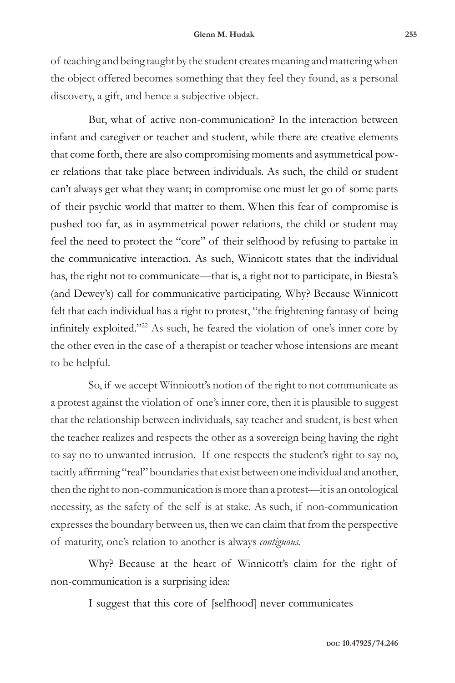of teaching and being taught by the student creates meaning and mattering when the object offered becomes something that they feel they found, as a personal discovery, a gift, and hence a subjective object.

But, what of active non-communication? In the interaction between infant and caregiver or teacher and student, while there are creative elements that come forth, there are also compromising moments and asymmetrical power relations that take place between individuals. As such, the child or student can't always get what they want; in compromise one must let go of some parts of their psychic world that matter to them. When this fear of compromise is pushed too far, as in asymmetrical power relations, the child or student may feel the need to protect the "core" of their selfhood by refusing to partake in the communicative interaction. As such, Winnicott states that the individual has, the right not to communicate—that is, a right not to participate, in Biesta's (and Dewey's) call for communicative participating. Why? Because Winnicott felt that each individual has a right to protest, "the frightening fantasy of being infinitely exploited."22 As such, he feared the violation of one's inner core by the other even in the case of a therapist or teacher whose intensions are meant to be helpful.

So, if we accept Winnicott's notion of the right to not communicate as a protest against the violation of one's inner core, then it is plausible to suggest that the relationship between individuals, say teacher and student, is best when the teacher realizes and respects the other as a sovereign being having the right to say no to unwanted intrusion. If one respects the student's right to say no, tacitly affirming "real" boundaries that exist between one individual and another, then the right to non-communication is more than a protest—it is an ontological necessity, as the safety of the self is at stake. As such, if non-communication expresses the boundary between us, then we can claim that from the perspective of maturity, one's relation to another is always *contiguous.*

Why? Because at the heart of Winnicott's claim for the right of non-communication is a surprising idea:

I suggest that this core of [selfhood] never communicates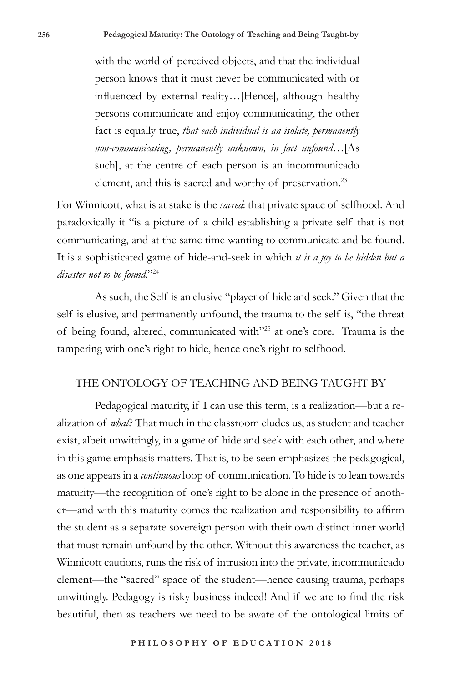with the world of perceived objects, and that the individual person knows that it must never be communicated with or influenced by external reality…[Hence], although healthy persons communicate and enjoy communicating, the other fact is equally true, *that each individual is an isolate, permanently non-communicating, permanently unknown, in fact unfound*…[As such], at the centre of each person is an incommunicado element, and this is sacred and worthy of preservation.<sup>23</sup>

For Winnicott, what is at stake is the *sacred*: that private space of selfhood. And paradoxically it "is a picture of a child establishing a private self that is not communicating, and at the same time wanting to communicate and be found. It is a sophisticated game of hide-and-seek in which *it is a joy to be hidden but a disaster not to be found*."24

As such, the Self is an elusive "player of hide and seek." Given that the self is elusive, and permanently unfound, the trauma to the self is, "the threat of being found, altered, communicated with"25 at one's core. Trauma is the tampering with one's right to hide, hence one's right to selfhood.

### THE ONTOLOGY OF TEACHING AND BEING TAUGHT BY

Pedagogical maturity, if I can use this term, is a realization—but a realization of *what*? That much in the classroom eludes us, as student and teacher exist, albeit unwittingly, in a game of hide and seek with each other, and where in this game emphasis matters. That is, to be seen emphasizes the pedagogical, as one appears in a *continuous* loop of communication. To hide is to lean towards maturity—the recognition of one's right to be alone in the presence of another—and with this maturity comes the realization and responsibility to affirm the student as a separate sovereign person with their own distinct inner world that must remain unfound by the other. Without this awareness the teacher, as Winnicott cautions, runs the risk of intrusion into the private, incommunicado element—the "sacred" space of the student—hence causing trauma, perhaps unwittingly. Pedagogy is risky business indeed! And if we are to find the risk beautiful, then as teachers we need to be aware of the ontological limits of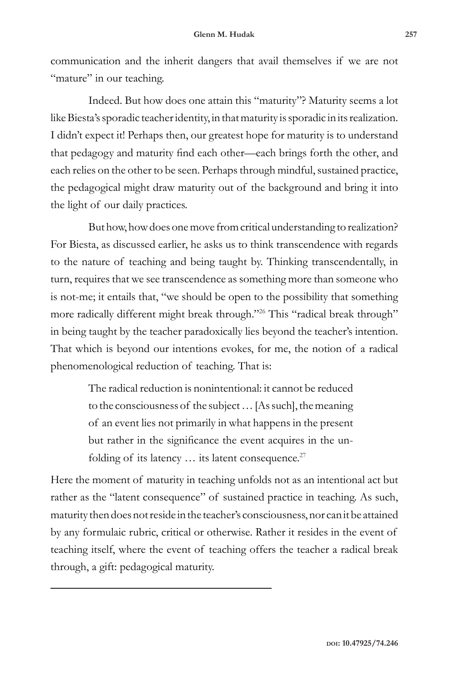communication and the inherit dangers that avail themselves if we are not "mature" in our teaching.

Indeed. But how does one attain this "maturity"? Maturity seems a lot like Biesta's sporadic teacher identity, in that maturity is sporadic in its realization. I didn't expect it! Perhaps then, our greatest hope for maturity is to understand that pedagogy and maturity find each other—each brings forth the other, and each relies on the other to be seen. Perhaps through mindful, sustained practice, the pedagogical might draw maturity out of the background and bring it into the light of our daily practices.

But how, how does one move from critical understanding to realization? For Biesta, as discussed earlier, he asks us to think transcendence with regards to the nature of teaching and being taught by. Thinking transcendentally, in turn, requires that we see transcendence as something more than someone who is not-me; it entails that, "we should be open to the possibility that something more radically different might break through."26 This "radical break through" in being taught by the teacher paradoxically lies beyond the teacher's intention. That which is beyond our intentions evokes, for me, the notion of a radical phenomenological reduction of teaching. That is:

> The radical reduction is nonintentional: it cannot be reduced to the consciousness of the subject … [As such], the meaning of an event lies not primarily in what happens in the present but rather in the significance the event acquires in the unfolding of its latency  $\ldots$  its latent consequence.<sup>27</sup>

Here the moment of maturity in teaching unfolds not as an intentional act but rather as the "latent consequence" of sustained practice in teaching. As such, maturity then does not reside in the teacher's consciousness, nor can it be attained by any formulaic rubric, critical or otherwise. Rather it resides in the event of teaching itself, where the event of teaching offers the teacher a radical break through, a gift: pedagogical maturity.